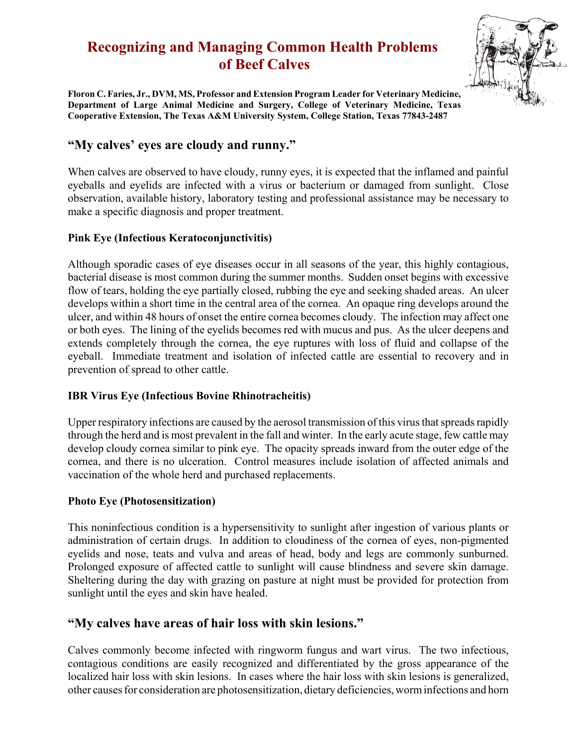# **Recognizing and Managing Common Health Problems of Beef Calves**



**Floron C. Faries, Jr., DVM, MS, Professor and Extension Program Leader for Veterinary Medicine, Department of Large Animal Medicine and Surgery, College of Veterinary Medicine, Texas Cooperative Extension, The Texas A&M University System, College Station, Texas 77843-2487**

# **"My calves' eyes are cloudy and runny."**

When calves are observed to have cloudy, runny eyes, it is expected that the inflamed and painful eyeballs and eyelids are infected with a virus or bacterium or damaged from sunlight. Close observation, available history, laboratory testing and professional assistance may be necessary to make a specific diagnosis and proper treatment.

#### **Pink Eye (Infectious Keratoconjunctivitis)**

Although sporadic cases of eye diseases occur in all seasons of the year, this highly contagious, bacterial disease is most common during the summer months. Sudden onset begins with excessive flow of tears, holding the eye partially closed, rubbing the eye and seeking shaded areas. An ulcer develops within a short time in the central area of the cornea. An opaque ring develops around the ulcer, and within 48 hours of onset the entire cornea becomes cloudy. The infection may affect one or both eyes. The lining of the eyelids becomes red with mucus and pus. As the ulcer deepens and extends completely through the cornea, the eye ruptures with loss of fluid and collapse of the eyeball. Immediate treatment and isolation of infected cattle are essential to recovery and in prevention of spread to other cattle.

#### **IBR Virus Eye (Infectious Bovine Rhinotracheitis)**

Upper respiratory infections are caused by the aerosol transmission of this virus that spreads rapidly through the herd and is most prevalent in the fall and winter. In the early acute stage, few cattle may develop cloudy cornea similar to pink eye. The opacity spreads inward from the outer edge of the cornea, and there is no ulceration. Control measures include isolation of affected animals and vaccination of the whole herd and purchased replacements.

#### **Photo Eye (Photosensitization)**

This noninfectious condition is a hypersensitivity to sunlight after ingestion of various plants or administration of certain drugs. In addition to cloudiness of the cornea of eyes, non-pigmented eyelids and nose, teats and vulva and areas of head, body and legs are commonly sunburned. Prolonged exposure of affected cattle to sunlight will cause blindness and severe skin damage. Sheltering during the day with grazing on pasture at night must be provided for protection from sunlight until the eyes and skin have healed.

# **"My calves have areas of hair loss with skin lesions."**

Calves commonly become infected with ringworm fungus and wart virus. The two infectious, contagious conditions are easily recognized and differentiated by the gross appearance of the localized hair loss with skin lesions. In cases where the hair loss with skin lesions is generalized, other causes for consideration are photosensitization, dietary deficiencies, worm infections and horn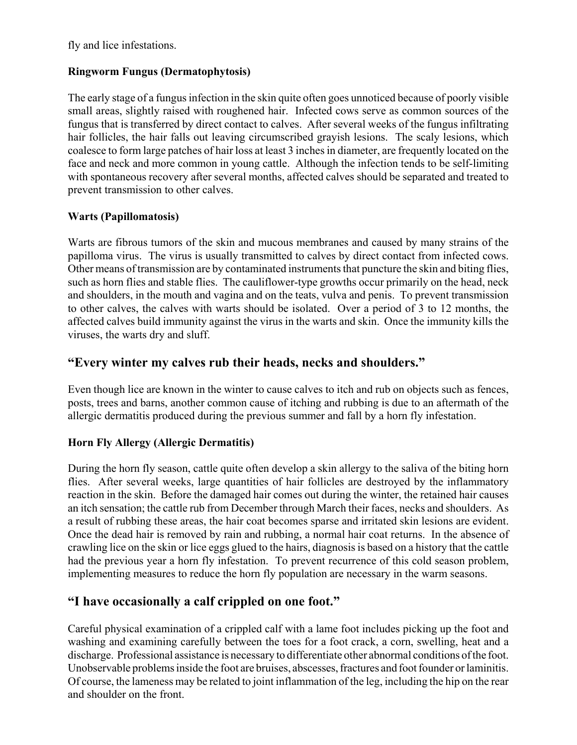fly and lice infestations.

### **Ringworm Fungus (Dermatophytosis)**

The early stage of a fungus infection in the skin quite often goes unnoticed because of poorly visible small areas, slightly raised with roughened hair. Infected cows serve as common sources of the fungus that is transferred by direct contact to calves. After several weeks of the fungus infiltrating hair follicles, the hair falls out leaving circumscribed grayish lesions. The scaly lesions, which coalesce to form large patches of hair loss at least 3 inches in diameter, are frequently located on the face and neck and more common in young cattle. Although the infection tends to be self-limiting with spontaneous recovery after several months, affected calves should be separated and treated to prevent transmission to other calves.

### **Warts (Papillomatosis)**

Warts are fibrous tumors of the skin and mucous membranes and caused by many strains of the papilloma virus. The virus is usually transmitted to calves by direct contact from infected cows. Other means of transmission are by contaminated instruments that puncture the skin and biting flies, such as horn flies and stable flies. The cauliflower-type growths occur primarily on the head, neck and shoulders, in the mouth and vagina and on the teats, vulva and penis. To prevent transmission to other calves, the calves with warts should be isolated. Over a period of 3 to 12 months, the affected calves build immunity against the virus in the warts and skin. Once the immunity kills the viruses, the warts dry and sluff.

# **"Every winter my calves rub their heads, necks and shoulders."**

Even though lice are known in the winter to cause calves to itch and rub on objects such as fences, posts, trees and barns, another common cause of itching and rubbing is due to an aftermath of the allergic dermatitis produced during the previous summer and fall by a horn fly infestation.

### **Horn Fly Allergy (Allergic Dermatitis)**

During the horn fly season, cattle quite often develop a skin allergy to the saliva of the biting horn flies. After several weeks, large quantities of hair follicles are destroyed by the inflammatory reaction in the skin. Before the damaged hair comes out during the winter, the retained hair causes an itch sensation; the cattle rub from December through March their faces, necks and shoulders. As a result of rubbing these areas, the hair coat becomes sparse and irritated skin lesions are evident. Once the dead hair is removed by rain and rubbing, a normal hair coat returns. In the absence of crawling lice on the skin or lice eggs glued to the hairs, diagnosis is based on a history that the cattle had the previous year a horn fly infestation. To prevent recurrence of this cold season problem, implementing measures to reduce the horn fly population are necessary in the warm seasons.

# **"I have occasionally a calf crippled on one foot."**

Careful physical examination of a crippled calf with a lame foot includes picking up the foot and washing and examining carefully between the toes for a foot crack, a corn, swelling, heat and a discharge. Professional assistance is necessary to differentiate other abnormal conditions of the foot. Unobservable problems inside the foot are bruises, abscesses, fractures and foot founder or laminitis. Of course, the lameness may be related to joint inflammation of the leg, including the hip on the rear and shoulder on the front.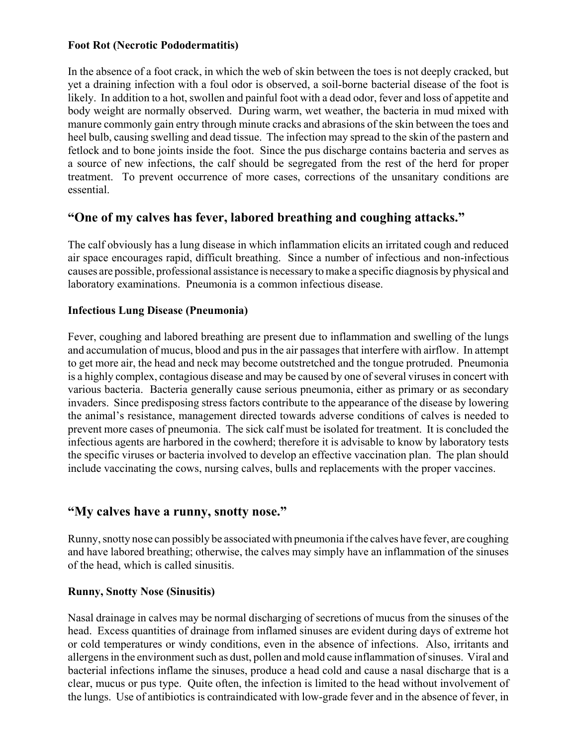#### **Foot Rot (Necrotic Pododermatitis)**

In the absence of a foot crack, in which the web of skin between the toes is not deeply cracked, but yet a draining infection with a foul odor is observed, a soil-borne bacterial disease of the foot is likely. In addition to a hot, swollen and painful foot with a dead odor, fever and loss of appetite and body weight are normally observed. During warm, wet weather, the bacteria in mud mixed with manure commonly gain entry through minute cracks and abrasions of the skin between the toes and heel bulb, causing swelling and dead tissue. The infection may spread to the skin of the pastern and fetlock and to bone joints inside the foot. Since the pus discharge contains bacteria and serves as a source of new infections, the calf should be segregated from the rest of the herd for proper treatment. To prevent occurrence of more cases, corrections of the unsanitary conditions are essential.

# **"One of my calves has fever, labored breathing and coughing attacks."**

The calf obviously has a lung disease in which inflammation elicits an irritated cough and reduced air space encourages rapid, difficult breathing. Since a number of infectious and non-infectious causes are possible, professional assistance is necessary to make a specific diagnosis by physical and laboratory examinations. Pneumonia is a common infectious disease.

#### **Infectious Lung Disease (Pneumonia)**

Fever, coughing and labored breathing are present due to inflammation and swelling of the lungs and accumulation of mucus, blood and pus in the air passages that interfere with airflow. In attempt to get more air, the head and neck may become outstretched and the tongue protruded. Pneumonia is a highly complex, contagious disease and may be caused by one of several viruses in concert with various bacteria. Bacteria generally cause serious pneumonia, either as primary or as secondary invaders. Since predisposing stress factors contribute to the appearance of the disease by lowering the animal's resistance, management directed towards adverse conditions of calves is needed to prevent more cases of pneumonia. The sick calf must be isolated for treatment. It is concluded the infectious agents are harbored in the cowherd; therefore it is advisable to know by laboratory tests the specific viruses or bacteria involved to develop an effective vaccination plan. The plan should include vaccinating the cows, nursing calves, bulls and replacements with the proper vaccines.

# **"My calves have a runny, snotty nose."**

Runny, snotty nose can possibly be associated with pneumonia if the calves have fever, are coughing and have labored breathing; otherwise, the calves may simply have an inflammation of the sinuses of the head, which is called sinusitis.

#### **Runny, Snotty Nose (Sinusitis)**

Nasal drainage in calves may be normal discharging of secretions of mucus from the sinuses of the head. Excess quantities of drainage from inflamed sinuses are evident during days of extreme hot or cold temperatures or windy conditions, even in the absence of infections. Also, irritants and allergens in the environment such as dust, pollen and mold cause inflammation of sinuses. Viral and bacterial infections inflame the sinuses, produce a head cold and cause a nasal discharge that is a clear, mucus or pus type. Quite often, the infection is limited to the head without involvement of the lungs. Use of antibiotics is contraindicated with low-grade fever and in the absence of fever, in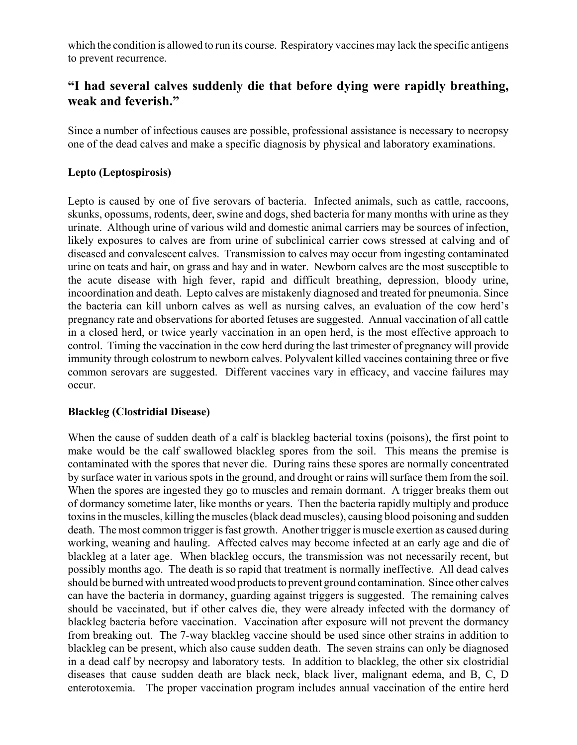which the condition is allowed to run its course. Respiratory vaccines may lack the specific antigens to prevent recurrence.

# **"I had several calves suddenly die that before dying were rapidly breathing, weak and feverish."**

Since a number of infectious causes are possible, professional assistance is necessary to necropsy one of the dead calves and make a specific diagnosis by physical and laboratory examinations.

### **Lepto (Leptospirosis)**

Lepto is caused by one of five serovars of bacteria. Infected animals, such as cattle, raccoons, skunks, opossums, rodents, deer, swine and dogs, shed bacteria for many months with urine as they urinate. Although urine of various wild and domestic animal carriers may be sources of infection, likely exposures to calves are from urine of subclinical carrier cows stressed at calving and of diseased and convalescent calves. Transmission to calves may occur from ingesting contaminated urine on teats and hair, on grass and hay and in water. Newborn calves are the most susceptible to the acute disease with high fever, rapid and difficult breathing, depression, bloody urine, incoordination and death. Lepto calves are mistakenly diagnosed and treated for pneumonia. Since the bacteria can kill unborn calves as well as nursing calves, an evaluation of the cow herd's pregnancy rate and observations for aborted fetuses are suggested. Annual vaccination of all cattle in a closed herd, or twice yearly vaccination in an open herd, is the most effective approach to control. Timing the vaccination in the cow herd during the last trimester of pregnancy will provide immunity through colostrum to newborn calves. Polyvalent killed vaccines containing three or five common serovars are suggested. Different vaccines vary in efficacy, and vaccine failures may occur.

#### **Blackleg (Clostridial Disease)**

When the cause of sudden death of a calf is blackleg bacterial toxins (poisons), the first point to make would be the calf swallowed blackleg spores from the soil. This means the premise is contaminated with the spores that never die. During rains these spores are normally concentrated by surface water in various spots in the ground, and drought or rains will surface them from the soil. When the spores are ingested they go to muscles and remain dormant. A trigger breaks them out of dormancy sometime later, like months or years. Then the bacteria rapidly multiply and produce toxins in the muscles, killing the muscles (black dead muscles), causing blood poisoning and sudden death. The most common trigger is fast growth. Another trigger is muscle exertion as caused during working, weaning and hauling. Affected calves may become infected at an early age and die of blackleg at a later age. When blackleg occurs, the transmission was not necessarily recent, but possibly months ago. The death is so rapid that treatment is normally ineffective. All dead calves should be burned with untreated wood products to prevent ground contamination. Since other calves can have the bacteria in dormancy, guarding against triggers is suggested. The remaining calves should be vaccinated, but if other calves die, they were already infected with the dormancy of blackleg bacteria before vaccination. Vaccination after exposure will not prevent the dormancy from breaking out. The 7-way blackleg vaccine should be used since other strains in addition to blackleg can be present, which also cause sudden death. The seven strains can only be diagnosed in a dead calf by necropsy and laboratory tests. In addition to blackleg, the other six clostridial diseases that cause sudden death are black neck, black liver, malignant edema, and B, C, D enterotoxemia. The proper vaccination program includes annual vaccination of the entire herd